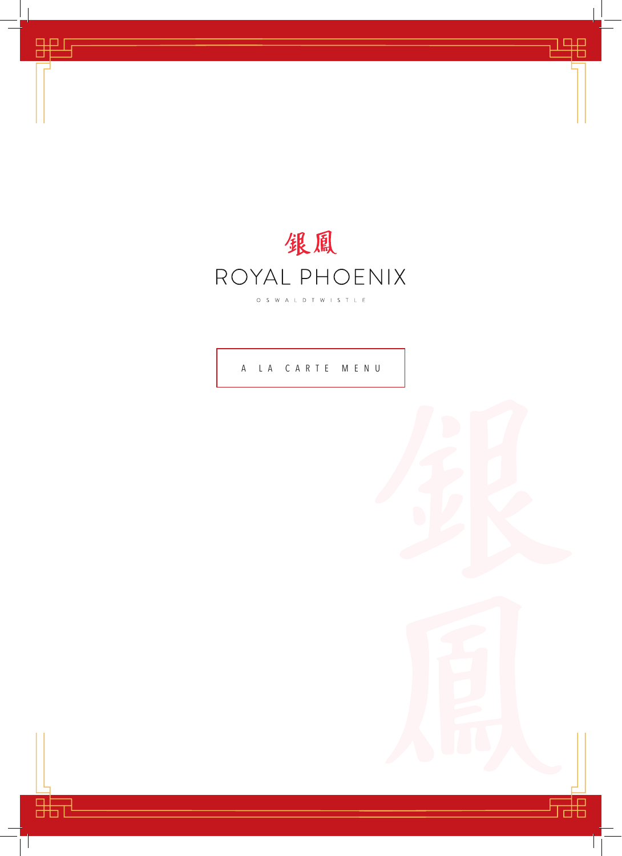

甲

睛

 $\mathcal{L}$ 

A LA CARTE MENU

 $\mathcal{L}$ 

出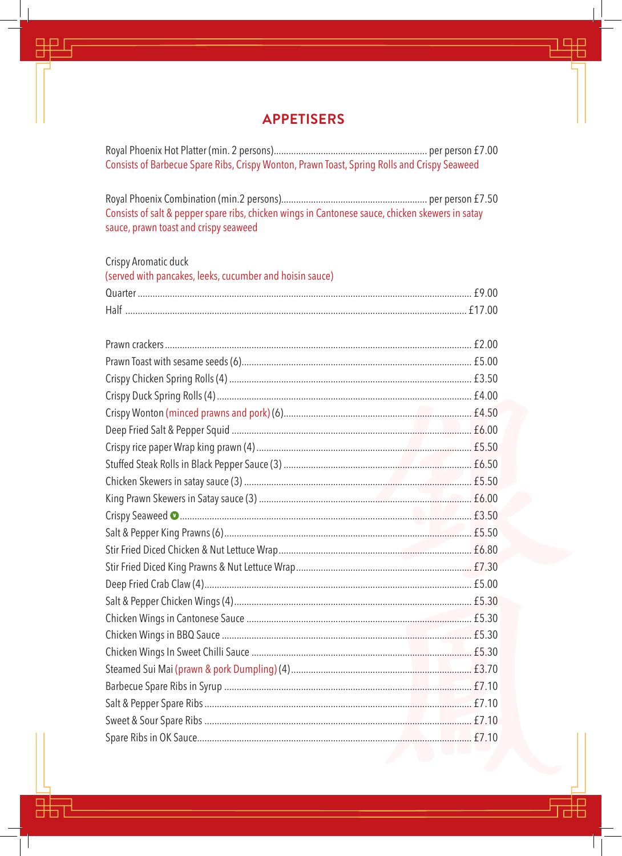#### **APPETISERS**

ヿ▐▛

₩

罡

噐

Consists of Barbecue Spare Ribs, Crispy Wonton, Prawn Toast, Spring Rolls and Crispy Seaweed

Consists of salt & pepper spare ribs, chicken wings in Cantonese sauce, chicken skewers in satay sauce, prawn toast and crispy seaweed

| Crispy Aromatic duck                                     |  |
|----------------------------------------------------------|--|
| (served with pancakes, leeks, cucumber and hoisin sauce) |  |
|                                                          |  |
|                                                          |  |
|                                                          |  |
|                                                          |  |
|                                                          |  |
|                                                          |  |
|                                                          |  |
|                                                          |  |
|                                                          |  |
|                                                          |  |
|                                                          |  |
|                                                          |  |
|                                                          |  |
|                                                          |  |
|                                                          |  |
|                                                          |  |
|                                                          |  |
|                                                          |  |
|                                                          |  |
|                                                          |  |
|                                                          |  |
|                                                          |  |
|                                                          |  |
|                                                          |  |
|                                                          |  |
|                                                          |  |
|                                                          |  |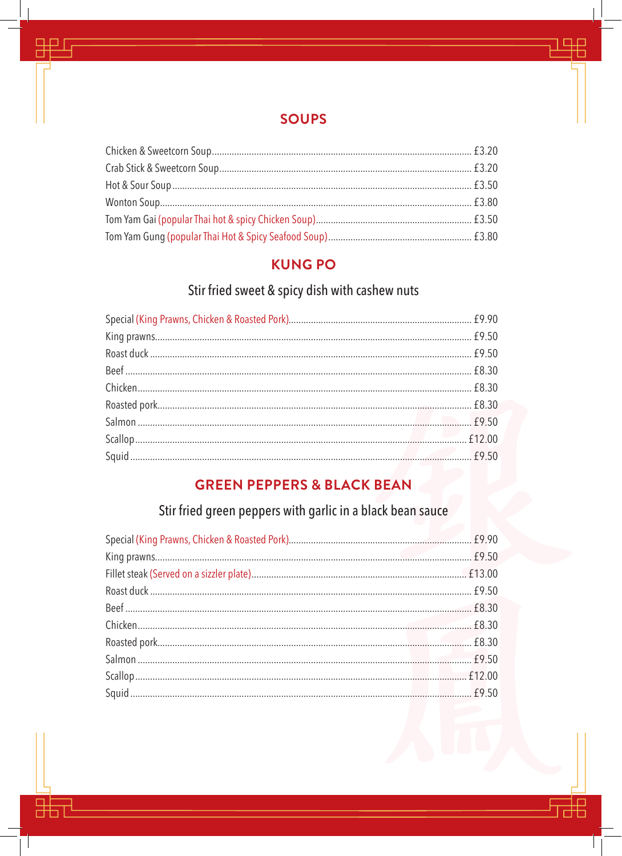### **SOUPS**

 $\Box$ 

 $\boxplus$ 

甲

먊

### **KUNG PO**

# Stir fried sweet & spicy dish with cashew nuts

# **GREEN PEPPERS & BLACK BEAN**

# Stir fried green peppers with garlic in a black bean sauce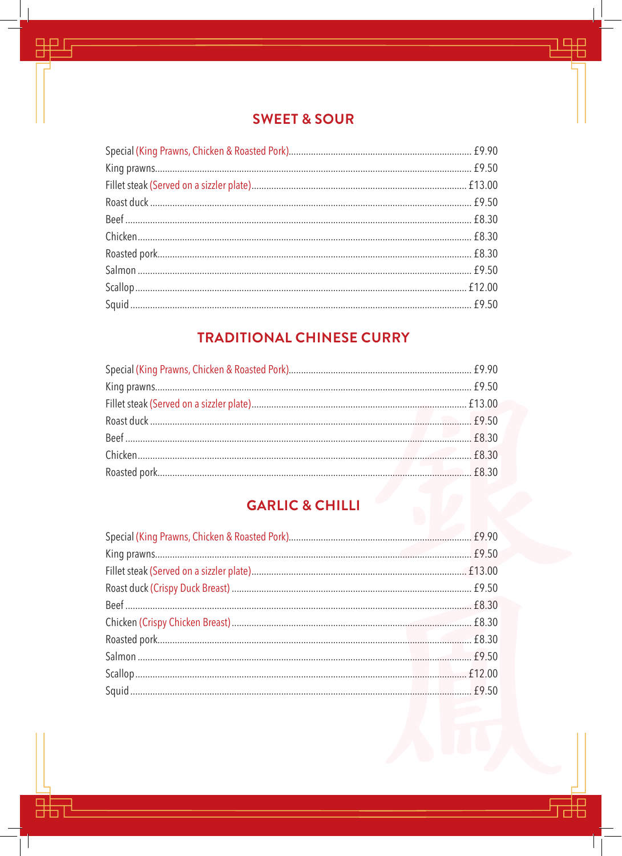## **SWEET & SOUR**

半

語

 $\mathcal{L}$ 

甲

먊

 $\mathcal{L}$ 

# **TRADITIONAL CHINESE CURRY**

# **GARLIC & CHILLI**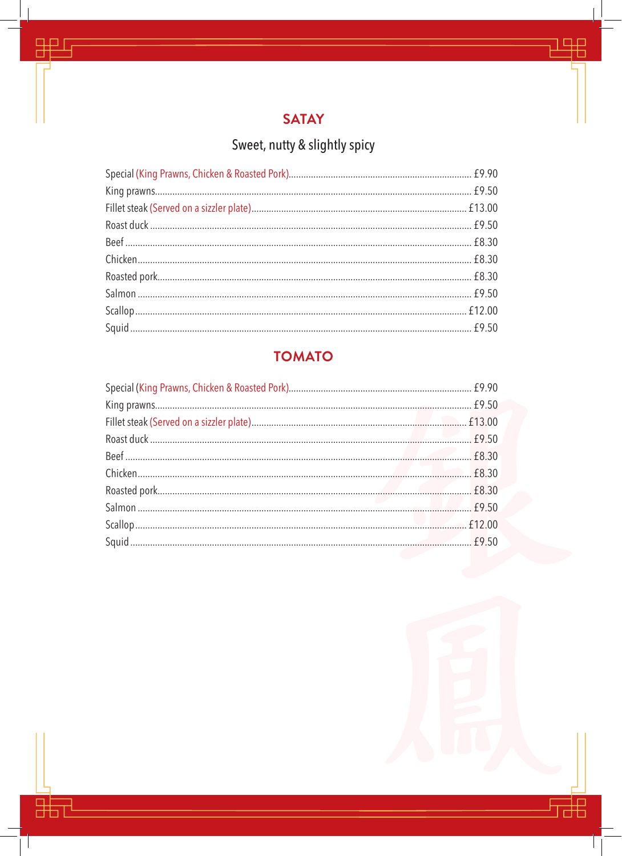![](_page_4_Picture_0.jpeg)

用

捛

里

嘂

 $\mathbb{R}$ 

# Sweet, nutty & slightly spicy

# **TOMATO**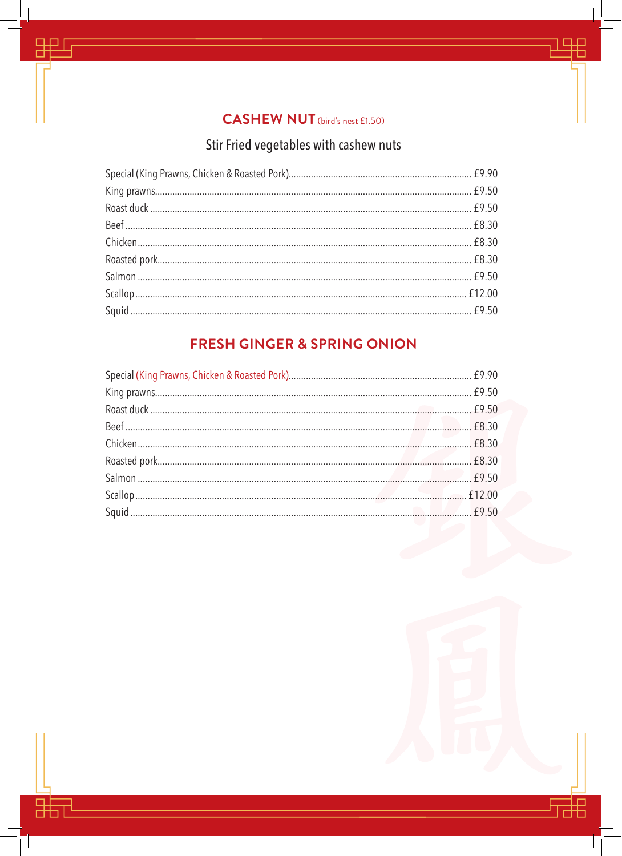### **CASHEW NUT** (bird's nest £1.50)

里

嘂

 $\overline{\phantom{a}}$ 

# Stir Fried vegetables with cashew nuts

## **FRESH GINGER & SPRING ONION**

 $\square\square$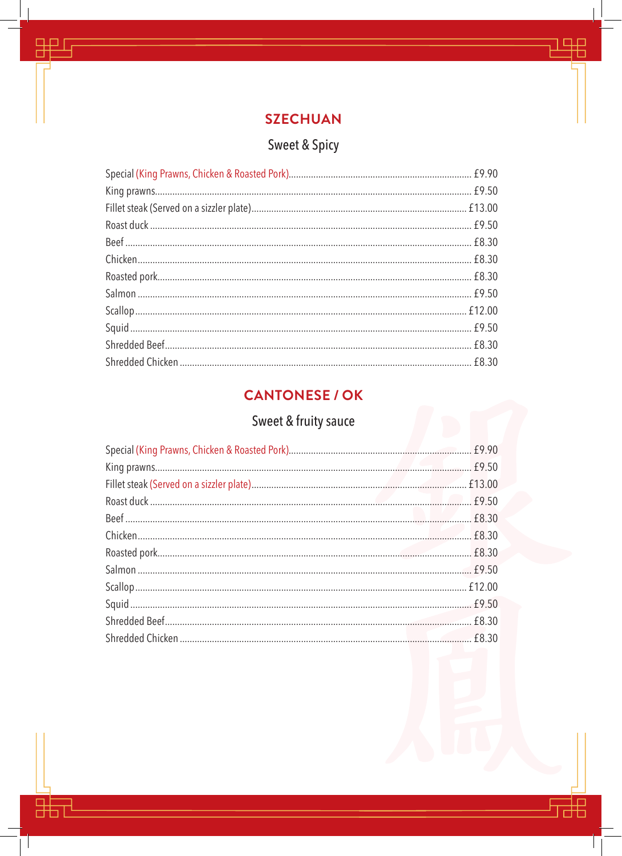![](_page_6_Picture_0.jpeg)

里

語

 $\overline{\phantom{a}}$ 

甲

嘂

 $\mathbb{R}$ 

# Sweet & Spicy

# **CANTONESE / OK**

# Sweet & fruity sauce

| f9.50 |
|-------|
|       |
|       |
|       |
|       |
|       |
|       |
|       |
|       |
|       |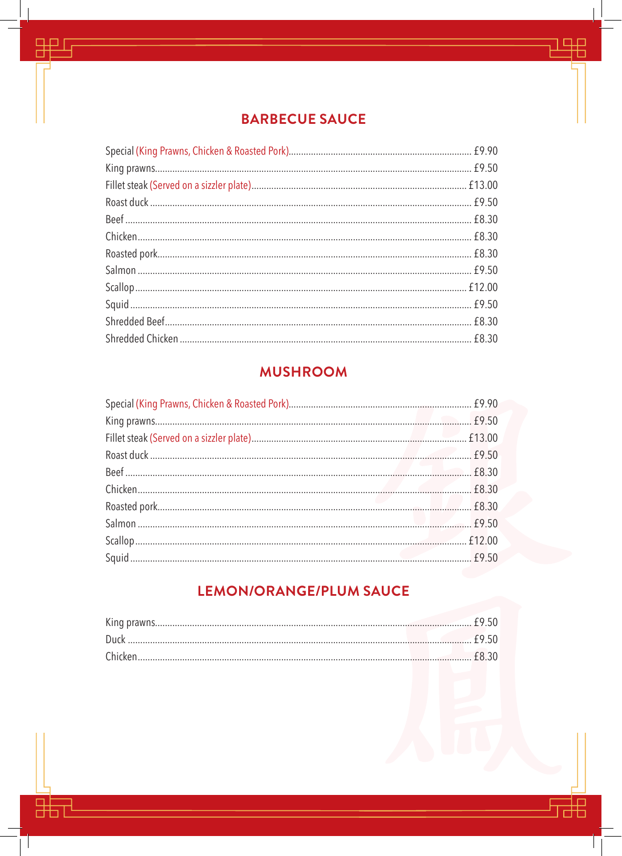### **BARBECUE SAUCE**

半

詛

 $\mathcal{L}$ 

甲

器

 $\mathcal{L}$ 

### **MUSHROOM**

## LEMON/ORANGE/PLUM SAUCE

| Chicken.<br>$18.30$ |  |
|---------------------|--|
|                     |  |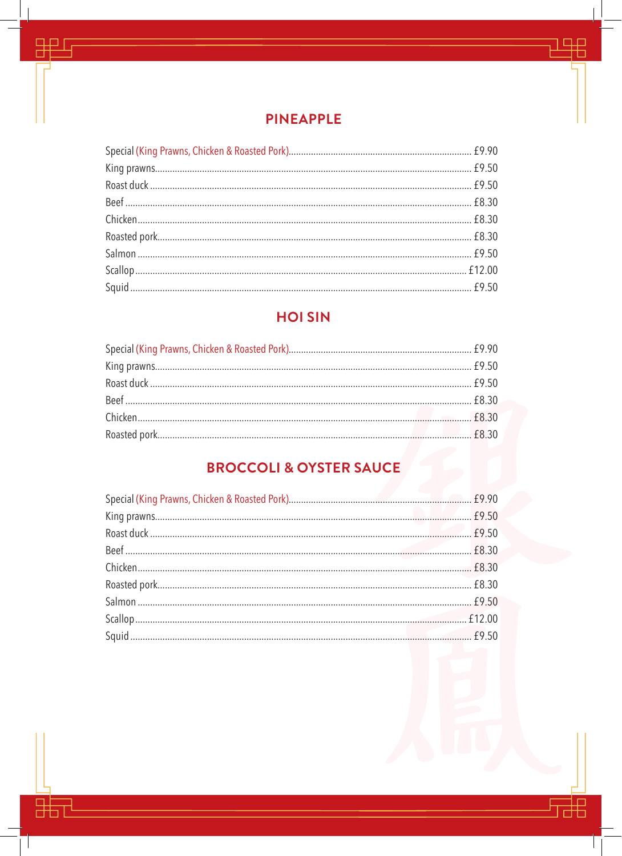![](_page_8_Picture_0.jpeg)

品

詔

 $\mathcal{L}$ 

甲

嘂

 $\mathcal{L}$ 

## **HOI SIN**

# **BROCCOLI & OYSTER SAUCE**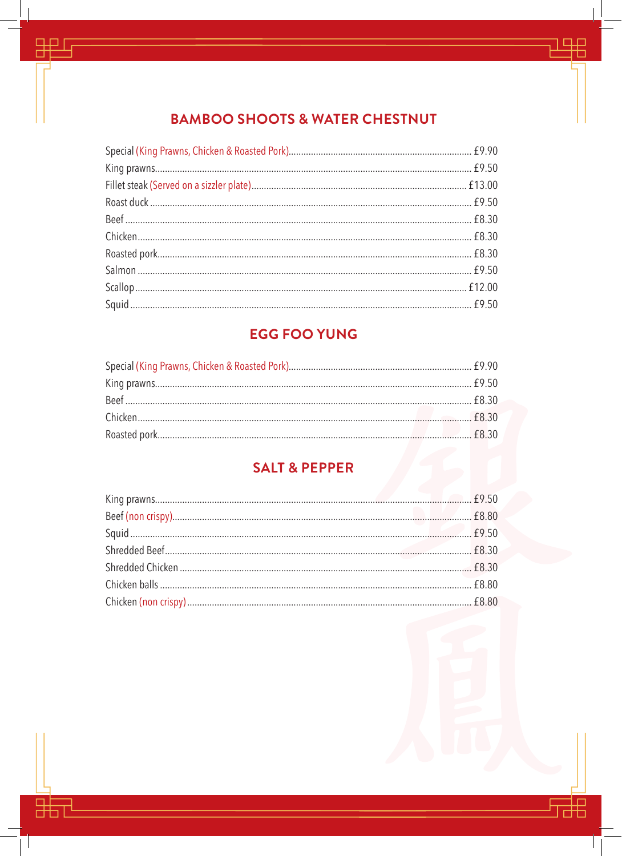## **BAMBOO SHOOTS & WATER CHESTNUT**

黑

抇

里

嘂

 $\mathcal{L}$ 

# **EGG FOO YUNG**

### **SALT & PEPPER**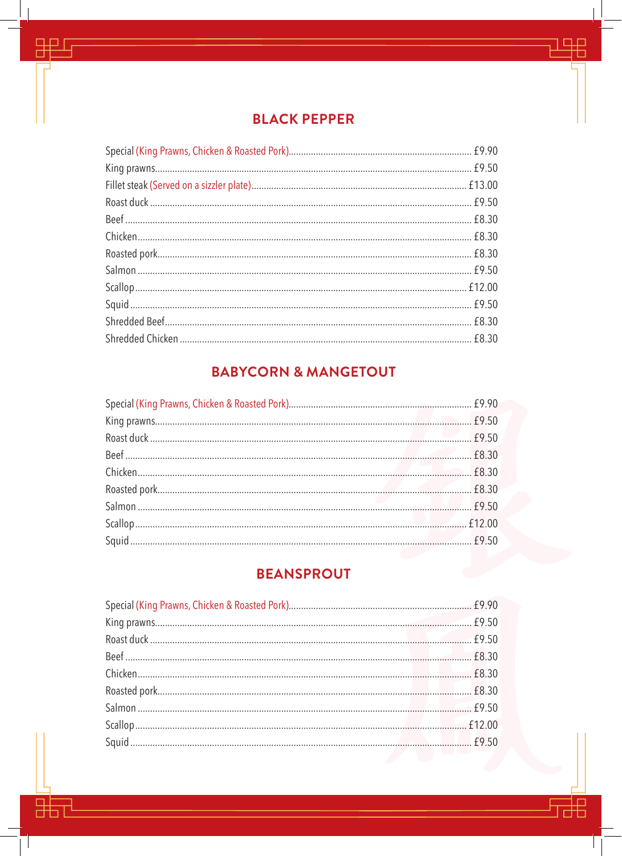### **BLACK PEPPER**

半

詛

 $\overline{\phantom{a}}$ 

甲

噩

 $\mathcal{L}$ 

# **BABYCORN & MANGETOUT**

### **BEANSPROUT**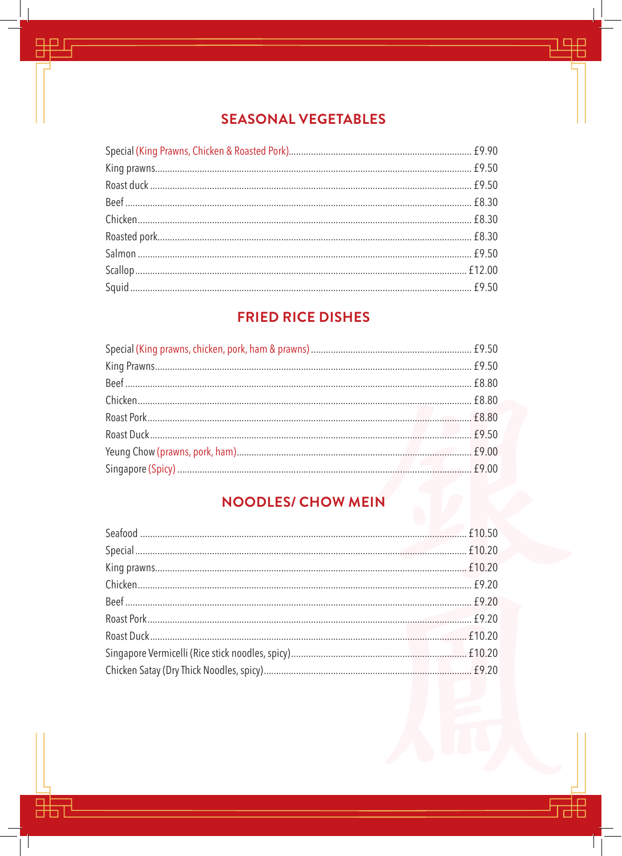## **SEASONAL VEGETABLES**

品

語

 $\overline{\phantom{a}}$ 

甲

器

 $\mathcal{L}$ 

### **FRIED RICE DISHES**

# **NOODLES/ CHOW MEIN**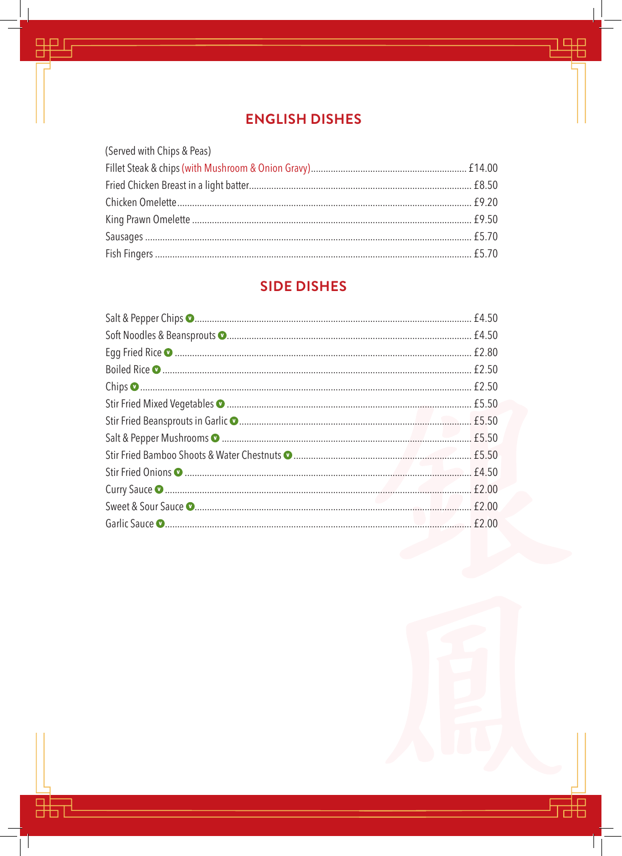### **ENGLISH DISHES**

半

需

 $\mathcal{L}$ 

甲

嘂

 $\Box$ 

| (Served with Chips & Peas) |  |
|----------------------------|--|
|                            |  |
|                            |  |
|                            |  |
|                            |  |
|                            |  |
|                            |  |

### **SIDE DISHES**

| f2.00 |
|-------|
|       |
|       |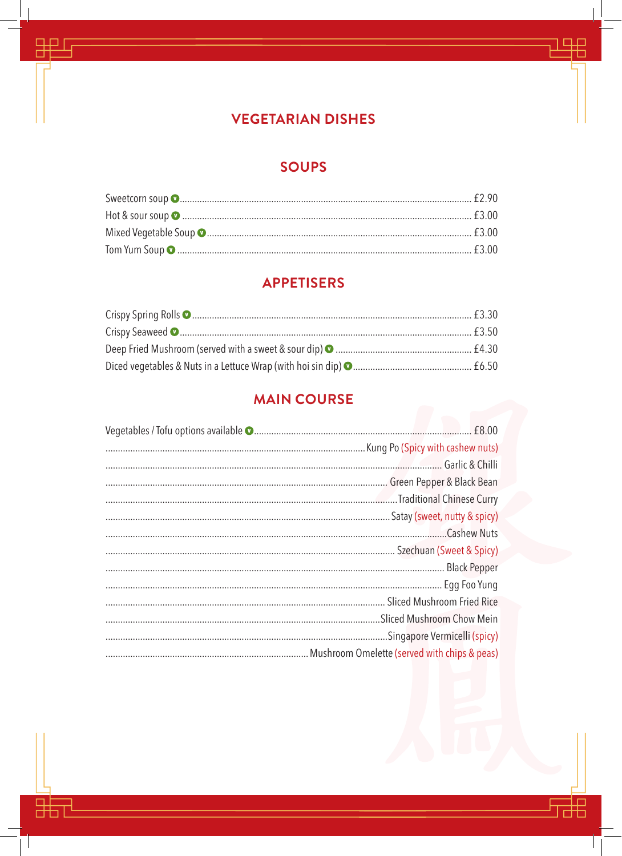### **VEGETARIAN DISHES**

里

語

 $\mathcal{L}$ 

甲

昍

 $\mathbb{R}$ 

### **SOUPS**

### **APPETISERS**

### **MAIN COURSE**

| Satay (sweet, nutty & spicy) |  |
|------------------------------|--|
| Cashew Nuts                  |  |
|                              |  |
|                              |  |
| Egg Foo Yung                 |  |
|                              |  |
|                              |  |
| Singapore Vermicelli (spicy) |  |
|                              |  |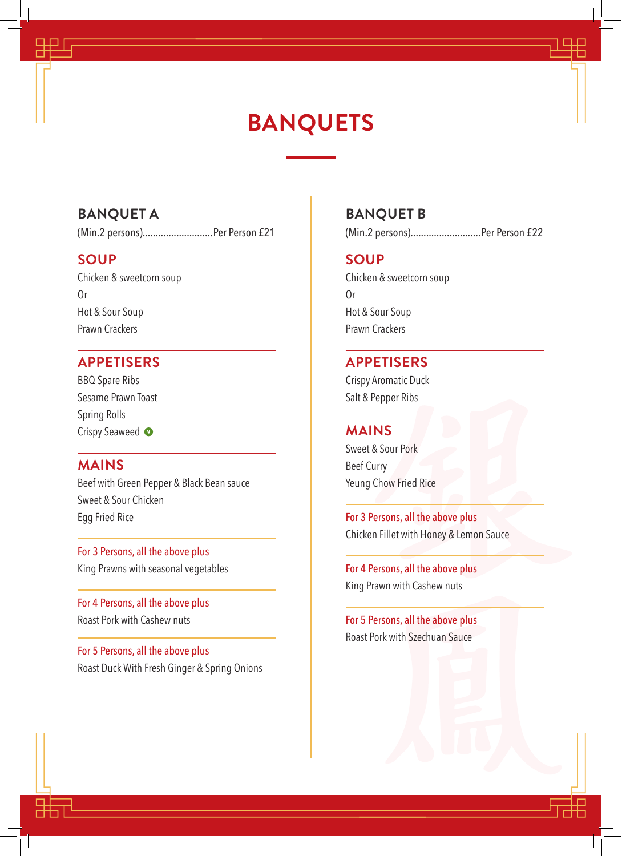# **BANQUETS**

#### **BANQUET A**

(Min.2 persons)...........................Per Person £21

#### **SOUP**

Chicken & sweetcorn soup Or Hot & Sour Soup Prawn Crackers

#### **APPETISERS**

BBQ Spare Ribs Sesame Prawn Toast Spring Rolls Crispy Seaweed  $\bullet$ 

#### **MAINS**

Beef with Green Pepper & Black Bean sauce Sweet & Sour Chicken Egg Fried Rice

For 3 Persons, all the above plus King Prawns with seasonal vegetables

For 4 Persons, all the above plus Roast Pork with Cashew nuts

For 5 Persons, all the above plus Roast Duck With Fresh Ginger & Spring Onions

#### **BANQUET B**

(Min.2 persons)...........................Per Person £22

#### **SOUP**

Chicken & sweetcorn soup Or Hot & Sour Soup Prawn Crackers

#### **APPETISERS**

Crispy Aromatic Duck Salt & Pepper Ribs

#### **MAINS**

Sweet & Sour Pork Beef Curry Yeung Chow Fried Rice

For 3 Persons, all the above plus Chicken Fillet with Honey & Lemon Sauce

For 4 Persons, all the above plus King Prawn with Cashew nuts

For 5 Persons, all the above plus Roast Pork with Szechuan Sauce